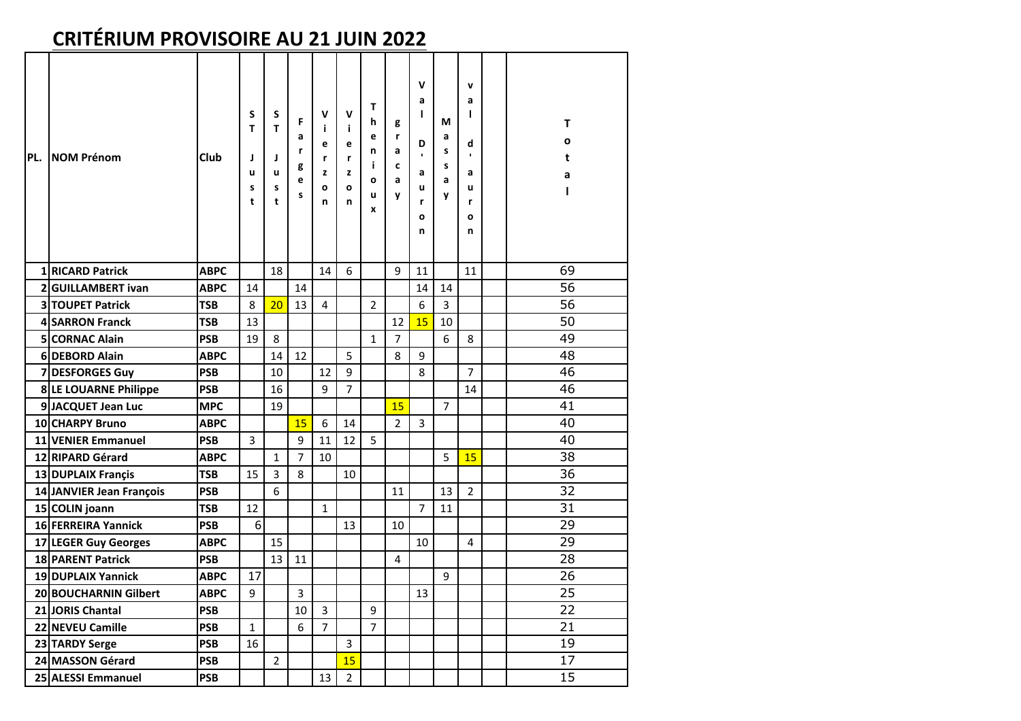## **CRITÉRIUM PROVISOIRE AU 21 JUIN 2022**

| PL. | <b>NOM Prénom</b>         | Club        | S<br>T<br>J<br>u<br>s<br>t | S<br>T<br>J<br>u<br>s<br>t | F<br>a<br>r<br>g<br>е<br>s | v<br>i.<br>e<br>r<br>z<br>$\mathbf o$<br>n | v<br>j.<br>e<br>r<br>z<br>O<br>n | т<br>h<br>e<br>n<br>i.<br>$\mathbf{o}$<br>u<br>x | g<br>r<br>a<br>c<br>a<br>y | $\mathsf{v}$<br>a<br>т<br>D<br>$\blacksquare$<br>a<br>u<br>r<br>O<br>n | М<br>a<br>S<br>S<br>a<br>y | v<br>a<br>L<br>d<br>$\mathbf{r}$<br>a<br>u<br>r<br>O<br>n | T<br>O<br>t<br>a<br>ı |
|-----|---------------------------|-------------|----------------------------|----------------------------|----------------------------|--------------------------------------------|----------------------------------|--------------------------------------------------|----------------------------|------------------------------------------------------------------------|----------------------------|-----------------------------------------------------------|-----------------------|
|     | 1 RICARD Patrick          | <b>ABPC</b> |                            | 18                         |                            | 14                                         | 6                                |                                                  | 9                          | 11                                                                     |                            | 11                                                        | 69                    |
|     | 2 GUILLAMBERT ivan        | <b>ABPC</b> | 14                         |                            | 14                         |                                            |                                  |                                                  |                            | 14                                                                     | 14                         |                                                           | 56                    |
|     | 3 TOUPET Patrick          | <b>TSB</b>  | 8                          | 20                         | 13                         | 4                                          |                                  | $\overline{2}$                                   |                            | 6                                                                      | $\overline{3}$             |                                                           | 56                    |
|     | 4 SARRON Franck           | <b>TSB</b>  | 13                         |                            |                            |                                            |                                  |                                                  | 12                         | 15                                                                     | 10                         |                                                           | 50                    |
|     | 5 CORNAC Alain            | <b>PSB</b>  | 19                         | 8                          |                            |                                            |                                  | $\mathbf{1}$                                     | 7                          |                                                                        | 6                          | 8                                                         | 49                    |
|     | 6 DEBORD Alain            | <b>ABPC</b> |                            | 14                         | 12                         |                                            | 5                                |                                                  | 8                          | 9                                                                      |                            |                                                           | 48                    |
|     | 7 DESFORGES Guy           | <b>PSB</b>  |                            | 10                         |                            | 12                                         | 9                                |                                                  |                            | 8                                                                      |                            | $\overline{7}$                                            | 46                    |
|     | 8 LE LOUARNE Philippe     | <b>PSB</b>  |                            | 16                         |                            | 9                                          | $\overline{7}$                   |                                                  |                            |                                                                        |                            | 14                                                        | 46                    |
|     | 9JACQUET Jean Luc         | <b>MPC</b>  |                            | 19                         |                            |                                            |                                  |                                                  | 15                         |                                                                        | $\overline{7}$             |                                                           | 41                    |
|     | 10 CHARPY Bruno           | <b>ABPC</b> |                            |                            | 15                         | 6                                          | 14                               |                                                  | $\overline{\mathbf{z}}$    | 3                                                                      |                            |                                                           | 40                    |
|     | <b>11 VENIER Emmanuel</b> | <b>PSB</b>  | 3                          |                            | 9                          | 11                                         | 12                               | 5                                                |                            |                                                                        |                            |                                                           | 40                    |
|     | 12 RIPARD Gérard          | <b>ABPC</b> |                            | $\mathbf{1}$               | $\overline{7}$             | 10                                         |                                  |                                                  |                            |                                                                        | 5                          | 15                                                        | 38                    |
|     | 13 DUPLAIX Françis        | <b>TSB</b>  | 15                         | 3                          | 8                          |                                            | 10                               |                                                  |                            |                                                                        |                            |                                                           | 36                    |
|     | 14 JANVIER Jean François  | <b>PSB</b>  |                            | 6                          |                            |                                            |                                  |                                                  | 11                         |                                                                        | 13                         | $\overline{2}$                                            | 32                    |
|     | 15 COLIN joann            | <b>TSB</b>  | 12                         |                            |                            | $\mathbf{1}$                               |                                  |                                                  |                            | $\overline{7}$                                                         | 11                         |                                                           | 31                    |
|     | 16 FERREIRA Yannick       | <b>PSB</b>  | 6                          |                            |                            |                                            | 13                               |                                                  | 10                         |                                                                        |                            |                                                           | 29                    |
|     | 17 LEGER Guy Georges      | <b>ABPC</b> |                            | 15                         |                            |                                            |                                  |                                                  |                            | 10                                                                     |                            | 4                                                         | 29                    |
|     | <b>18 PARENT Patrick</b>  | <b>PSB</b>  |                            | 13                         | 11                         |                                            |                                  |                                                  | 4                          |                                                                        |                            |                                                           | 28                    |
|     | 19 DUPLAIX Yannick        | <b>ABPC</b> | 17                         |                            |                            |                                            |                                  |                                                  |                            |                                                                        | 9                          |                                                           | 26                    |
|     | 20 BOUCHARNIN Gilbert     | <b>ABPC</b> | 9                          |                            | 3                          |                                            |                                  |                                                  |                            | 13                                                                     |                            |                                                           | $\overline{25}$       |
|     | 21 JORIS Chantal          | <b>PSB</b>  |                            |                            | 10                         | 3                                          |                                  | 9                                                |                            |                                                                        |                            |                                                           | 22                    |
|     | 22 NEVEU Camille          | <b>PSB</b>  | 1                          |                            | 6                          | $\overline{7}$                             |                                  | $\overline{7}$                                   |                            |                                                                        |                            |                                                           | 21                    |
|     | 23 TARDY Serge            | <b>PSB</b>  | 16                         |                            |                            |                                            | 3                                |                                                  |                            |                                                                        |                            |                                                           | 19                    |
|     | 24 MASSON Gérard          | <b>PSB</b>  |                            | $\overline{2}$             |                            |                                            | 15                               |                                                  |                            |                                                                        |                            |                                                           | 17                    |
|     | 25 ALESSI Emmanuel        | <b>PSB</b>  |                            |                            |                            | 13                                         | $\overline{2}$                   |                                                  |                            |                                                                        |                            |                                                           | 15                    |